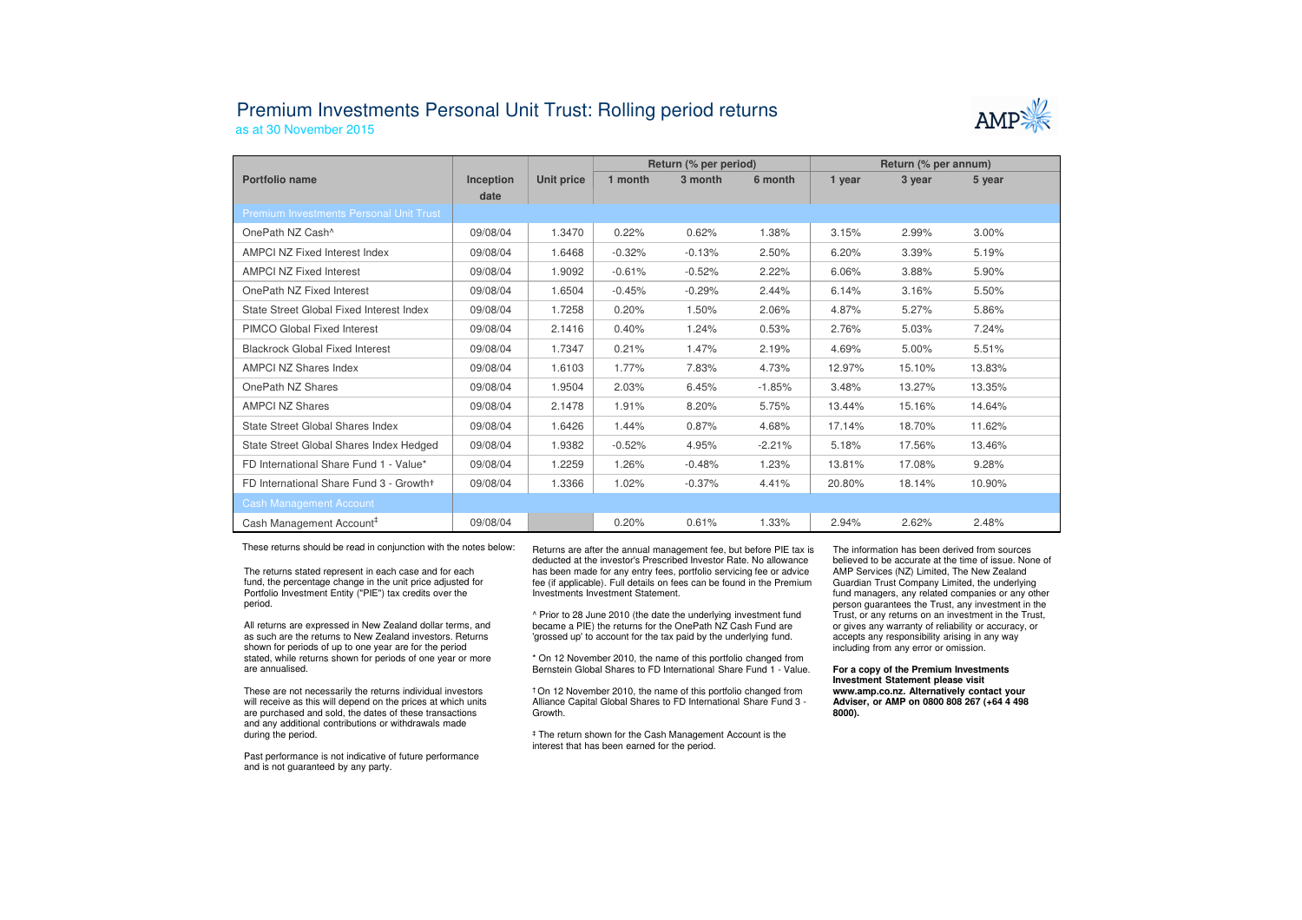## Premium Investments Personal Unit Trust: Rolling period returns



as at 30 November 2015

|                                                |                   |            | Return (% per period) |          |          | Return (% per annum) |        |        |  |
|------------------------------------------------|-------------------|------------|-----------------------|----------|----------|----------------------|--------|--------|--|
| Portfolio name                                 | Inception<br>date | Unit price | 1 month               | 3 month  | 6 month  | 1 year               | 3 year | 5 year |  |
| <b>Premium Investments Personal Unit Trust</b> |                   |            |                       |          |          |                      |        |        |  |
| OnePath NZ Cash <sup>^</sup>                   | 09/08/04          | 1.3470     | 0.22%                 | 0.62%    | 1.38%    | 3.15%                | 2.99%  | 3.00%  |  |
| AMPCI NZ Fixed Interest Index                  | 09/08/04          | 1.6468     | $-0.32%$              | $-0.13%$ | 2.50%    | 6.20%                | 3.39%  | 5.19%  |  |
| <b>AMPCI NZ Fixed Interest</b>                 | 09/08/04          | 1.9092     | $-0.61%$              | $-0.52%$ | 2.22%    | 6.06%                | 3.88%  | 5.90%  |  |
| OnePath NZ Fixed Interest                      | 09/08/04          | 1.6504     | $-0.45%$              | $-0.29%$ | 2.44%    | 6.14%                | 3.16%  | 5.50%  |  |
| State Street Global Fixed Interest Index       | 09/08/04          | 1.7258     | 0.20%                 | 1.50%    | 2.06%    | 4.87%                | 5.27%  | 5.86%  |  |
| PIMCO Global Fixed Interest                    | 09/08/04          | 2.1416     | 0.40%                 | 1.24%    | 0.53%    | 2.76%                | 5.03%  | 7.24%  |  |
| <b>Blackrock Global Fixed Interest</b>         | 09/08/04          | 1.7347     | 0.21%                 | 1.47%    | 2.19%    | 4.69%                | 5.00%  | 5.51%  |  |
| <b>AMPCI NZ Shares Index</b>                   | 09/08/04          | 1.6103     | 1.77%                 | 7.83%    | 4.73%    | 12.97%               | 15.10% | 13.83% |  |
| OnePath NZ Shares                              | 09/08/04          | 1.9504     | 2.03%                 | 6.45%    | $-1.85%$ | 3.48%                | 13.27% | 13.35% |  |
| <b>AMPCI NZ Shares</b>                         | 09/08/04          | 2.1478     | 1.91%                 | 8.20%    | 5.75%    | 13.44%               | 15.16% | 14.64% |  |
| State Street Global Shares Index               | 09/08/04          | 1.6426     | 1.44%                 | 0.87%    | 4.68%    | 17.14%               | 18.70% | 11.62% |  |
| State Street Global Shares Index Hedged        | 09/08/04          | 1.9382     | $-0.52%$              | 4.95%    | $-2.21%$ | 5.18%                | 17.56% | 13.46% |  |
| FD International Share Fund 1 - Value*         | 09/08/04          | 1.2259     | 1.26%                 | $-0.48%$ | 1.23%    | 13.81%               | 17.08% | 9.28%  |  |
| FD International Share Fund 3 - Growth+        | 09/08/04          | 1.3366     | 1.02%                 | $-0.37%$ | 4.41%    | 20.80%               | 18.14% | 10.90% |  |
| <b>Cash Management Account</b>                 |                   |            |                       |          |          |                      |        |        |  |
| Cash Management Account <sup>#</sup>           | 09/08/04          |            | 0.20%                 | 0.61%    | 1.33%    | 2.94%                | 2.62%  | 2.48%  |  |

These returns should be read in conjunction with the notes below:

The returns stated represent in each case and for each fund, the percentage change in the unit price adjusted for Portfolio Investment Entity ("PIE") tax credits over the period.

All returns are expressed in New Zealand dollar terms, and as such are the returns to New Zealand investors. Returns shown for periods of up to one year are for the period stated, while returns shown for periods of one year or more are annualised.

These are not necessarily the returns individual investors will receive as this will depend on the prices at which units are purchased and sold, the dates of these transactions and any additional contributions or withdrawals made during the period.

Past performance is not indicative of future performance and is not guaranteed by any party.

 Returns are after the annual management fee, but before PIE tax is deducted at the investor's Prescribed Investor Rate. No allowance has been made for any entry fees, portfolio servicing fee or advice fee (if applicable). Full details on fees can be found in the Premium Investments Investment Statement.

^ Prior to 28 June 2010 (the date the underlying investment fund became a PIE) the returns for the OnePath NZ Cash Fund are 'grossed up' to account for the tax paid by the underlying fund.

\* On 12 November 2010, the name of this portfolio changed from Bernstein Global Shares to FD International Share Fund 1 - Value.

† On 12 November 2010, the name of this portfolio changed from Alliance Capital Global Shares to FD International Share Fund 3 -Growth.

‡ The return shown for the Cash Management Account is the interest that has been earned for the period.

The information has been derived from sources believed to be accurate at the time of issue. None of AMP Services (NZ) Limited, The New Zealand Guardian Trust Company Limited, the underlying fund managers, any related companies or any other person guarantees the Trust, any investment in the Trust, or any returns on an investment in the Trust, or gives any warranty of reliability or accuracy, or accepts any responsibility arising in any way including from any error or omission.

## **For a copy of the Premium Investments Investment Statement please visit www.amp.co.nz. Alternatively contact your Adviser, or AMP on 0800 808 267 (+64 4 498 8000).**